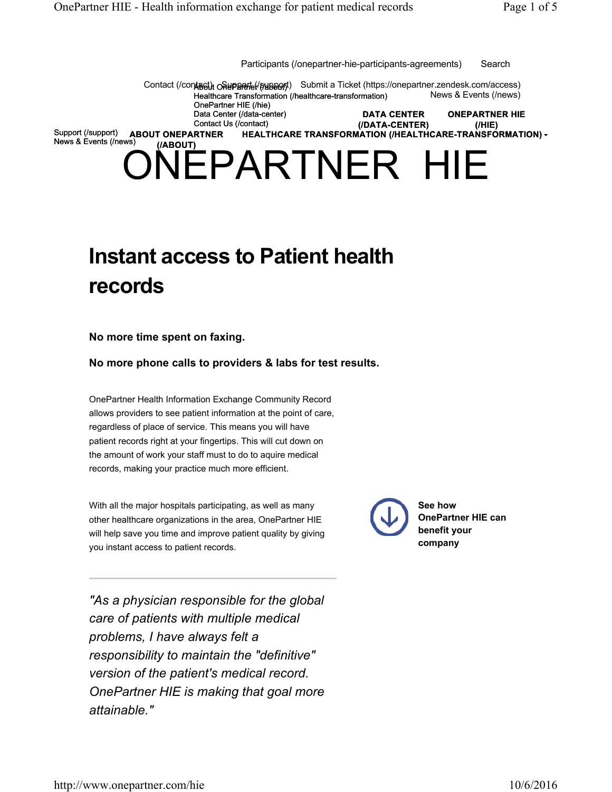NEPARTNER HIE Contact (/contact) o Supparte (/support) Submit a Ticket (https://onepartner.zendesk.com/access) Healthcare Transformation (/healthcare-transformation) OnePartner HIE (/hie) Data Center (/data-center) Contact Us (/contact) Support (/support) News & Events (/news) **ONEPARTNER HIE (/HIE) DATA CENTER (/DATA-CENTER) ABOUT ONEPARTNER HEALTHCARE TRANSFORMATION (/HEALTHCARE-TRANSFORMATION) (/ABOUT)** News & Events (/news) Participants (/onepartner-hie-participants-agreements) Search

# **Instant access to Patient health records**

**No more time spent on faxing.**

**No more phone calls to providers & labs for test results.**

OnePartner Health Information Exchange Community Record allows providers to see patient information at the point of care, regardless of place of service. This means you will have patient records right at your fingertips. This will cut down on the amount of work your staff must to do to aquire medical records, making your practice much more efficient.

With all the major hospitals participating, as well as many other healthcare organizations in the area, OnePartner HIE will help save you time and improve patient quality by giving you instant access to patient records.

*"As a physician responsible for the global care of patients with multiple medical problems, I have always felt a responsibility to maintain the "definitive" version of the patient's medical record. OnePartner HIE is making that goal more attainable."*



**See how OnePartner HIE can benefit your company**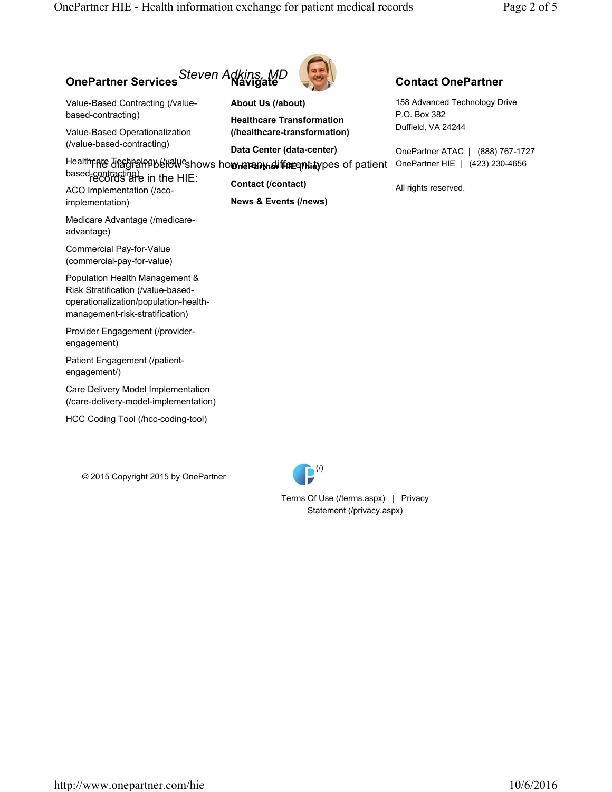## **OnePartner Services Navigate** *Steven Adkins, MD*

Value-Based Contracting (/valuebased-contracting)

Value-Based Operationalization (/value-based-contracting)

based-contracting) in the HIE: ACO Implementation (/aco-

implementation)

Medicare Advantage (/medicareadvantage)

Commercial Pay-for-Value (commercial-pay-for-value)

Population Health Management & Risk Stratification (/value-basedoperationalization/population-healthmanagement-risk-stratification)

Provider Engagement (/providerengagement)

Patient Engagement (/patientengagement/)

Care Delivery Model Implementation (/care-delivery-model-implementation)

HCC Coding Tool (/hcc-coding-tool)

© 2015 Copyright 2015 by OnePartner



**About Us (/about) Healthcare Transformation (/healthcare-transformation)**

**Data Center (data-center)**

Health**pare diagral Public Weshows how manu many different algority** pes of patient OnePartner HIE | (423) 230-4656

**Contact (/contact) News & Events (/news)**

#### **Contact OnePartner**

158 Advanced Technology Drive P.O. Box 382 Duffield, VA 24244

OnePartner ATAC | (888) 767-1727

All rights reserved.

 $\mathbf{P}^{(l)}$ 

Terms Of Use (/terms.aspx) | Privacy Statement (/privacy.aspx)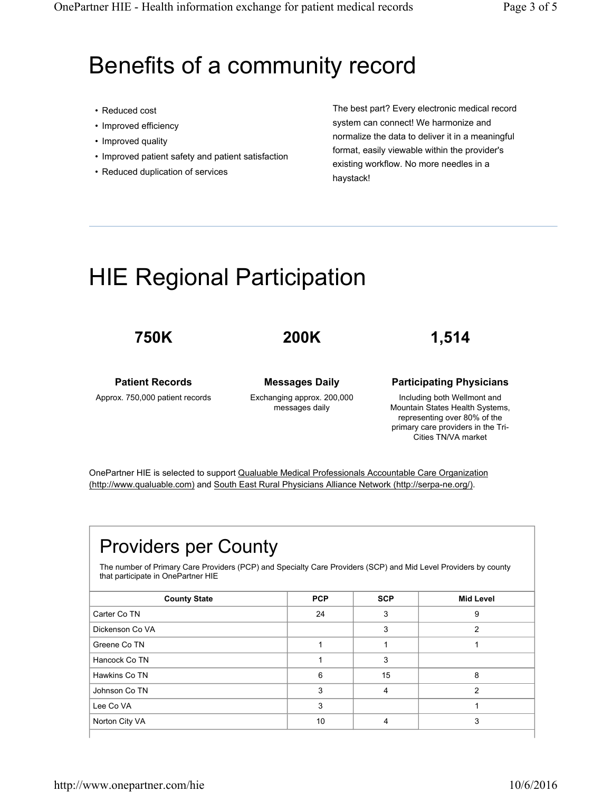# Benefits of a community record

- Reduced cost
- Improved efficiency
- Improved quality
- Improved patient safety and patient satisfaction
- Reduced duplication of services

The best part? Every electronic medical record system can connect! We harmonize and normalize the data to deliver it in a meaningful format, easily viewable within the provider's existing workflow. No more needles in a haystack!

# HIE Regional Participation

### **750K**

## **200K**

**1,514**

#### **Patient Records**

Approx. 750,000 patient records

**Messages Daily** Exchanging approx. 200,000 messages daily

#### **Participating Physicians**

Including both Wellmont and Mountain States Health Systems, representing over 80% of the primary care providers in the Tri-Cities TN/VA market

OnePartner HIE is selected to support Qualuable Medical Professionals Accountable Care Organization (http://www.qualuable.com) and South East Rural Physicians Alliance Network (http://serpa-ne.org/).

# Providers per County

The number of Primary Care Providers (PCP) and Specialty Care Providers (SCP) and Mid Level Providers by county that participate in OnePartner HIE

| <b>County State</b> | <b>PCP</b> | <b>SCP</b> | <b>Mid Level</b> |
|---------------------|------------|------------|------------------|
| Carter Co TN        | 24         | 3          | 9                |
| Dickenson Co VA     |            | 3          |                  |
| Greene Co TN        |            |            |                  |
| Hancock Co TN       |            | 3          |                  |
| Hawkins Co TN       | 6          | 15         | 8                |
| Johnson Co TN       | 3          | 4          | 2                |
| Lee Co VA           | 3          |            |                  |
| Norton City VA      | 10         |            | 3                |